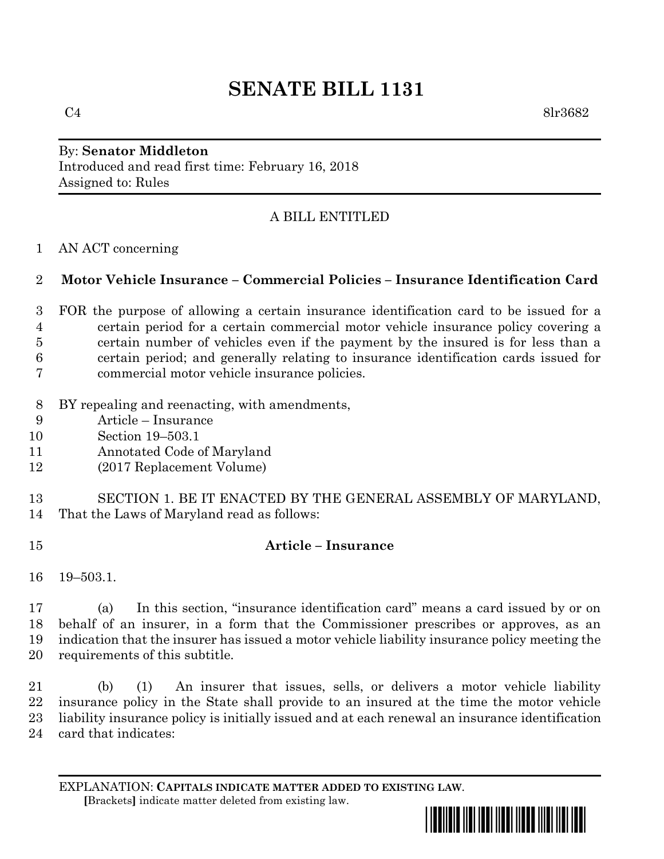# **SENATE BILL 1131**

 $C4$  8lr3682

### By: **Senator Middleton** Introduced and read first time: February 16, 2018 Assigned to: Rules

## A BILL ENTITLED

#### AN ACT concerning

## **Motor Vehicle Insurance – Commercial Policies – Insurance Identification Card**

- FOR the purpose of allowing a certain insurance identification card to be issued for a certain period for a certain commercial motor vehicle insurance policy covering a certain number of vehicles even if the payment by the insured is for less than a certain period; and generally relating to insurance identification cards issued for commercial motor vehicle insurance policies.
- BY repealing and reenacting, with amendments,
- Article Insurance
- Section 19–503.1
- Annotated Code of Maryland
- (2017 Replacement Volume)
- SECTION 1. BE IT ENACTED BY THE GENERAL ASSEMBLY OF MARYLAND, That the Laws of Maryland read as follows:
- **Article – Insurance**
- 19–503.1.

 (a) In this section, "insurance identification card" means a card issued by or on behalf of an insurer, in a form that the Commissioner prescribes or approves, as an indication that the insurer has issued a motor vehicle liability insurance policy meeting the requirements of this subtitle.

 (b) (1) An insurer that issues, sells, or delivers a motor vehicle liability insurance policy in the State shall provide to an insured at the time the motor vehicle liability insurance policy is initially issued and at each renewal an insurance identification card that indicates:

EXPLANATION: **CAPITALS INDICATE MATTER ADDED TO EXISTING LAW**.  **[**Brackets**]** indicate matter deleted from existing law.